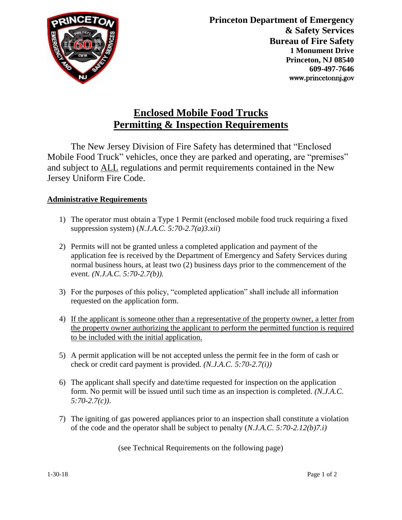

## **Enclosed Mobile Food Trucks Permitting & Inspection Requirements**

The New Jersey Division of Fire Safety has determined that "Enclosed Mobile Food Truck" vehicles, once they are parked and operating, are "premises" and subject to ALL regulations and permit requirements contained in the New Jersey Uniform Fire Code.

## **Administrative Requirements**

- 1) The operator must obtain a Type 1 Permit (enclosed mobile food truck requiring a fixed suppression system) (*N.J.A.C. 5:70-2.7(a)3.xii*)
- 2) Permits will not be granted unless a completed application and payment of the application fee is received by the Department of Emergency and Safety Services during normal business hours, at least two (2) business days prior to the commencement of the event. *(N.J.A.C. 5:70-2.7(b)).*
- 3) For the purposes of this policy, "completed application" shall include all information requested on the application form.
- 4) If the applicant is someone other than a representative of the property owner, a letter from the property owner authorizing the applicant to perform the permitted function is required to be included with the initial application.
- 5) A permit application will be not accepted unless the permit fee in the form of cash or check or credit card payment is provided. *(N.J.A.C. 5:70-2.7(i))*
- 6) The applicant shall specify and date/time requested for inspection on the application form. No permit will be issued until such time as an inspection is completed. *(N.J.A.C. 5:70-2.7(c))*.
- 7) The igniting of gas powered appliances prior to an inspection shall constitute a violation of the code and the operator shall be subject to penalty (*N.J.A.C. 5:70-2.12(b)7.i)*

(see Technical Requirements on the following page)